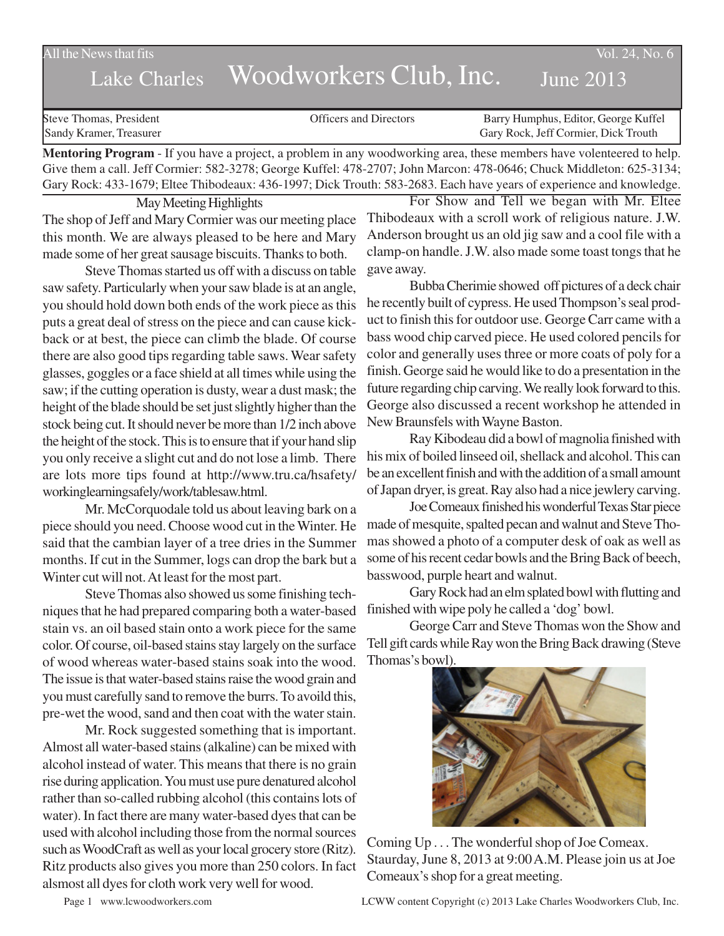All the News that fits Vol. 24, No. 6

## Lake Charles Woodworkers Club, Inc. June 2013

| Steve Thomas, President | <b>Officers and Directors</b> | Barry Humphus, Editor, George Kuffel |
|-------------------------|-------------------------------|--------------------------------------|
| Sandy Kramer, Treasurer |                               | Gary Rock, Jeff Cormier, Dick Trouth |
|                         |                               |                                      |

**Mentoring Program** - If you have a project, a problem in any woodworking area, these members have volenteered to help. Give them a call. Jeff Cormier: 582-3278; George Kuffel: 478-2707; John Marcon: 478-0646; Chuck Middleton: 625-3134; Gary Rock: 433-1679; Eltee Thibodeaux: 436-1997; Dick Trouth: 583-2683. Each have years of experience and knowledge.

May Meeting Highlights

The shop of Jeff and Mary Cormier was our meeting place this month. We are always pleased to be here and Mary made some of her great sausage biscuits. Thanks to both.

Steve Thomas started us off with a discuss on table saw safety. Particularly when your saw blade is at an angle, you should hold down both ends of the work piece as this puts a great deal of stress on the piece and can cause kickback or at best, the piece can climb the blade. Of course there are also good tips regarding table saws. Wear safety glasses, goggles or a face shield at all times while using the saw; if the cutting operation is dusty, wear a dust mask; the height of the blade should be set just slightly higher than the stock being cut. It should never be more than 1/2 inch above the height of the stock. This is to ensure that if your hand slip you only receive a slight cut and do not lose a limb. There are lots more tips found at http://www.tru.ca/hsafety/ workinglearningsafely/work/tablesaw.html.

Mr. McCorquodale told us about leaving bark on a piece should you need. Choose wood cut in the Winter. He said that the cambian layer of a tree dries in the Summer months. If cut in the Summer, logs can drop the bark but a Winter cut will not. At least for the most part.

Steve Thomas also showed us some finishing techniques that he had prepared comparing both a water-based stain vs. an oil based stain onto a work piece for the same color. Of course, oil-based stains stay largely on the surface of wood whereas water-based stains soak into the wood. The issue is that water-based stains raise the wood grain and you must carefully sand to remove the burrs. To avoild this, pre-wet the wood, sand and then coat with the water stain.

Mr. Rock suggested something that is important. Almost all water-based stains (alkaline) can be mixed with alcohol instead of water. This means that there is no grain rise during application. You must use pure denatured alcohol rather than so-called rubbing alcohol (this contains lots of water). In fact there are many water-based dyes that can be used with alcohol including those from the normal sources such as WoodCraft as well as your local grocery store (Ritz). Ritz products also gives you more than 250 colors. In fact alsmost all dyes for cloth work very well for wood.

For Show and Tell we began with Mr. Eltee Thibodeaux with a scroll work of religious nature. J.W. Anderson brought us an old jig saw and a cool file with a clamp-on handle. J.W. also made some toast tongs that he gave away.

Bubba Cherimie showed off pictures of a deck chair he recently built of cypress. He used Thompson's seal product to finish this for outdoor use. George Carr came with a bass wood chip carved piece. He used colored pencils for color and generally uses three or more coats of poly for a finish. George said he would like to do a presentation in the future regarding chip carving. We really look forward to this. George also discussed a recent workshop he attended in New Braunsfels with Wayne Baston.

Ray Kibodeau did a bowl of magnolia finished with his mix of boiled linseed oil, shellack and alcohol. This can be an excellent finish and with the addition of a small amount of Japan dryer, is great. Ray also had a nice jewlery carving.

Joe Comeaux finished his wonderful Texas Star piece made of mesquite, spalted pecan and walnut and Steve Thomas showed a photo of a computer desk of oak as well as some of his recent cedar bowls and the Bring Back of beech, basswood, purple heart and walnut.

Gary Rock had an elm splated bowl with flutting and finished with wipe poly he called a 'dog' bowl.

George Carr and Steve Thomas won the Show and Tell gift cards while Ray won the Bring Back drawing (Steve Thomas's bowl).



Coming Up . . . The wonderful shop of Joe Comeax. Staurday, June 8, 2013 at 9:00 A.M. Please join us at Joe Comeaux's shop for a great meeting.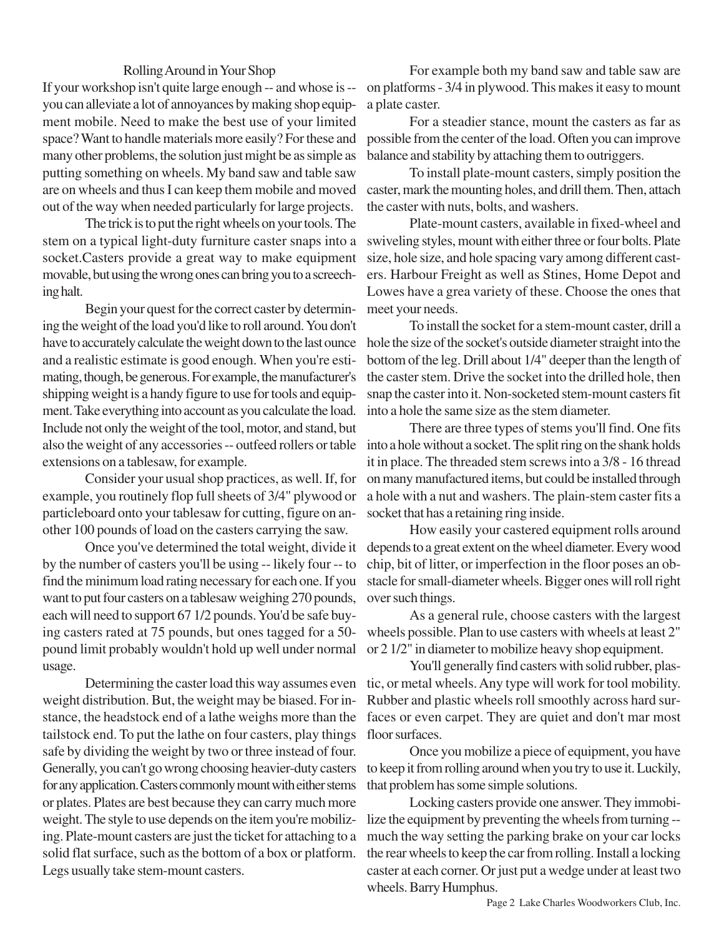## Rolling Around in Your Shop

If your workshop isn't quite large enough -- and whose is - you can alleviate a lot of annoyances by making shop equipment mobile. Need to make the best use of your limited space? Want to handle materials more easily? For these and many other problems, the solution just might be as simple as putting something on wheels. My band saw and table saw are on wheels and thus I can keep them mobile and moved out of the way when needed particularly for large projects.

The trick is to put the right wheels on your tools. The stem on a typical light-duty furniture caster snaps into a socket.Casters provide a great way to make equipment movable, but using the wrong ones can bring you to a screeching halt.

Begin your quest for the correct caster by determining the weight of the load you'd like to roll around. You don't have to accurately calculate the weight down to the last ounce and a realistic estimate is good enough. When you're estimating, though, be generous. For example, the manufacturer's shipping weight is a handy figure to use for tools and equipment. Take everything into account as you calculate the load. Include not only the weight of the tool, motor, and stand, but also the weight of any accessories -- outfeed rollers or table extensions on a tablesaw, for example.

Consider your usual shop practices, as well. If, for example, you routinely flop full sheets of 3/4" plywood or particleboard onto your tablesaw for cutting, figure on another 100 pounds of load on the casters carrying the saw.

Once you've determined the total weight, divide it by the number of casters you'll be using -- likely four -- to find the minimum load rating necessary for each one. If you want to put four casters on a tablesaw weighing 270 pounds, each will need to support 67 1/2 pounds. You'd be safe buying casters rated at 75 pounds, but ones tagged for a 50 pound limit probably wouldn't hold up well under normal usage.

Determining the caster load this way assumes even weight distribution. But, the weight may be biased. For instance, the headstock end of a lathe weighs more than the tailstock end. To put the lathe on four casters, play things safe by dividing the weight by two or three instead of four. Generally, you can't go wrong choosing heavier-duty casters for any application. Casters commonly mount with either stems or plates. Plates are best because they can carry much more weight. The style to use depends on the item you're mobilizing. Plate-mount casters are just the ticket for attaching to a solid flat surface, such as the bottom of a box or platform. Legs usually take stem-mount casters.

For example both my band saw and table saw are on platforms - 3/4 in plywood. This makes it easy to mount a plate caster.

For a steadier stance, mount the casters as far as possible from the center of the load. Often you can improve balance and stability by attaching them to outriggers.

To install plate-mount casters, simply position the caster, mark the mounting holes, and drill them. Then, attach the caster with nuts, bolts, and washers.

Plate-mount casters, available in fixed-wheel and swiveling styles, mount with either three or four bolts. Plate size, hole size, and hole spacing vary among different casters. Harbour Freight as well as Stines, Home Depot and Lowes have a grea variety of these. Choose the ones that meet your needs.

To install the socket for a stem-mount caster, drill a hole the size of the socket's outside diameter straight into the bottom of the leg. Drill about 1/4" deeper than the length of the caster stem. Drive the socket into the drilled hole, then snap the caster into it. Non-socketed stem-mount casters fit into a hole the same size as the stem diameter.

There are three types of stems you'll find. One fits into a hole without a socket. The split ring on the shank holds it in place. The threaded stem screws into a 3/8 - 16 thread on many manufactured items, but could be installed through a hole with a nut and washers. The plain-stem caster fits a socket that has a retaining ring inside.

How easily your castered equipment rolls around depends to a great extent on the wheel diameter. Every wood chip, bit of litter, or imperfection in the floor poses an obstacle for small-diameter wheels. Bigger ones will roll right over such things.

As a general rule, choose casters with the largest wheels possible. Plan to use casters with wheels at least 2" or 2 1/2" in diameter to mobilize heavy shop equipment.

You'll generally find casters with solid rubber, plastic, or metal wheels. Any type will work for tool mobility. Rubber and plastic wheels roll smoothly across hard surfaces or even carpet. They are quiet and don't mar most floor surfaces.

Once you mobilize a piece of equipment, you have to keep it from rolling around when you try to use it. Luckily, that problem has some simple solutions.

Locking casters provide one answer. They immobilize the equipment by preventing the wheels from turning - much the way setting the parking brake on your car locks the rear wheels to keep the car from rolling. Install a locking caster at each corner. Or just put a wedge under at least two wheels. Barry Humphus.